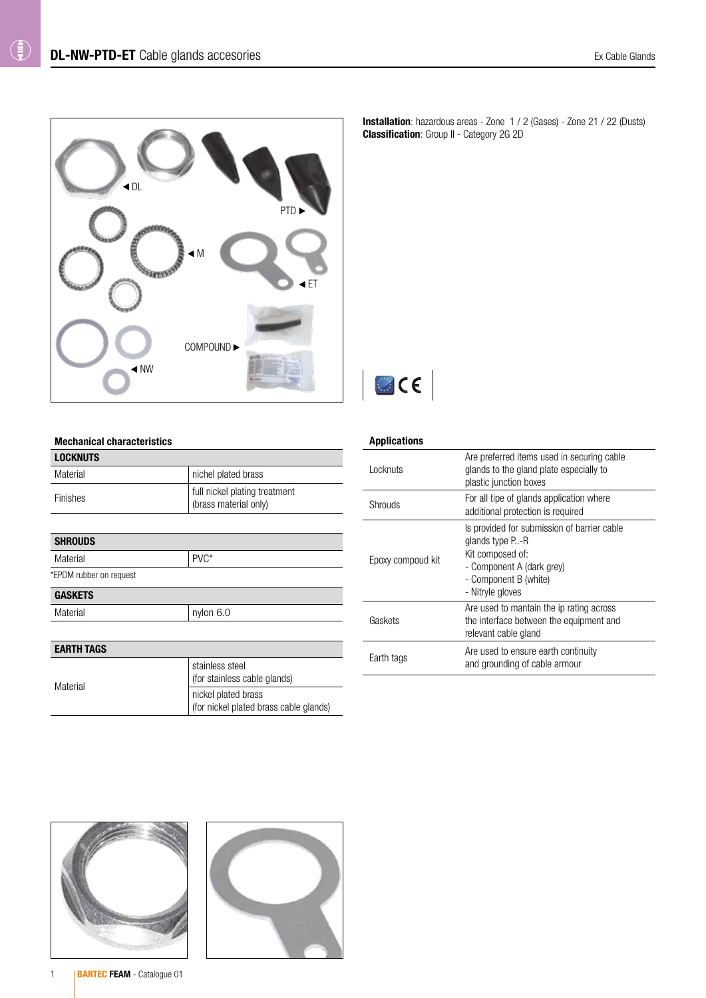

**Installation**: hazardous areas - Zone 1 / 2 (Gases) - Zone 21 / 22 (Dusts) **Classification:** Group II - Category 2G 2D



## Mechanical characteristics

| <b>LOCKNUTS</b>         |                                                               |
|-------------------------|---------------------------------------------------------------|
| Material                | nichel plated brass                                           |
| Finishes                | full nickel plating treatment<br>(brass material only)        |
|                         |                                                               |
| <b>SHROUDS</b>          |                                                               |
| PVC*<br>Material        |                                                               |
| *EPDM rubber on request |                                                               |
| <b>GASKETS</b>          |                                                               |
| Material                | nylon 6.0                                                     |
|                         |                                                               |
| <b>EARTH TAGS</b>       |                                                               |
|                         | stainless steel<br>(for stainless cable glands)               |
| Material                | nickel plated brass<br>(for nickel plated brass cable glands) |

## Applications

| Locknuts          | Are preferred items used in securing cable<br>glands to the gland plate especially to<br>plastic junction boxes                                              |
|-------------------|--------------------------------------------------------------------------------------------------------------------------------------------------------------|
| Shrouds           | For all tipe of glands application where<br>additional protection is required                                                                                |
| Epoxy compoud kit | Is provided for submission of barrier cable<br>glands type P-R<br>Kit composed of:<br>- Component A (dark grey)<br>- Component B (white)<br>- Nitryle gloves |
| Gaskets           | Are used to mantain the ip rating across<br>the interface between the equipment and<br>relevant cable gland                                                  |
| Earth tags        | Are used to ensure earth continuity<br>and grounding of cable armour                                                                                         |